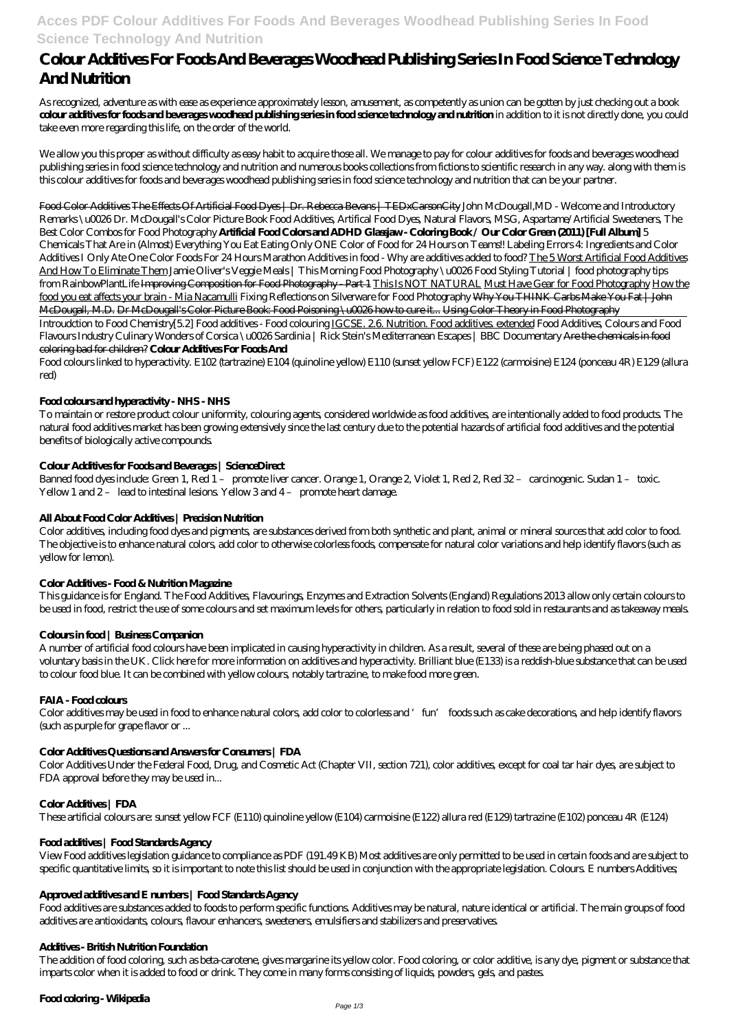## **Acces PDF Colour Additives For Foods And Beverages Woodhead Publishing Series In Food Science Technology And Nutrition**

# **Colour Additives For Foods And Beverages Woodhead Publishing Series In Food Science Technology And Nutrition**

As recognized, adventure as with ease as experience approximately lesson, amusement, as competently as union can be gotten by just checking out a book **colour additives for foods and beverages woodhead publishing series in food science technology and nutrition** in addition to it is not directly done, you could take even more regarding this life, on the order of the world.

We allow you this proper as without difficulty as easy habit to acquire those all. We manage to pay for colour additives for foods and beverages woodhead publishing series in food science technology and nutrition and numerous books collections from fictions to scientific research in any way. along with them is this colour additives for foods and beverages woodhead publishing series in food science technology and nutrition that can be your partner.

Food Color Additives The Effects Of Artificial Food Dyes | Dr. Rebecca Bevans | TEDxCarsonCity John McDougall, MD - Welcome and Introductory Remarks \u0026 Dr. McDougall's Color Picture Book Food Additives, Artifical Food Dyes, Natural Flavors, MSG, Aspartame/Artificial Sweeteners, *The Best Color Combos for Food Photography* **Artificial Food Colors and ADHD Glassjaw - Coloring Book / Our Color Green (2011) [Full Album]** 5 Chemicals That Are in (Almost) Everything You Eat *Eating Only ONE Color of Food for 24 Hours on Teams!! Labeling Errors 4: Ingredients and Color Additives I Only Ate One Color Foods For 24 Hours Marathon* Additives in food - Why are additives added to food? The 5 Worst Artificial Food Additives And How To Eliminate Them *Jamie Oliver's Veggie Meals | This Morning* Food Photography \u0026 Food Styling Tutorial | food photography tips from RainbowPlantLife Improving Composition for Food Photography - Part 1 This Is NOT NATURAL Must Have Gear for Food Photography How the food you eat affects your brain - Mia Nacamulli *Fixing Reflections on Silverware for Food Photography* Why You THINK Carbs Make You Fat | John McDougall, M.D. Dr McDougall's Color Picture Book: Food Poisoning \u0026 how to cure it... Using Color Theory in Food Photography

Banned food dyes include: Green 1, Red 1 – promote liver cancer. Orange 1, Orange 2, Violet 1, Red 2, Red 32 – carcinogenic. Sudan 1 – toxic. Yellow 1 and 2- lead to intestinal lesions. Yellow 3 and 4- promote heart damage.

Introudction to Food Chemistry*[5.2] Food additives - Food colouring* IGCSE. 2.6. Nutrition. Food additives. extended *Food Additives, Colours and Food Flavours Industry Culinary Wonders of Corsica \u0026 Sardinia | Rick Stein's Mediterranean Escapes | BBC Documentary* Are the chemicals in food coloring bad for children? **Colour Additives For Foods And**

Food colours linked to hyperactivity. E102 (tartrazine) E104 (quinoline yellow) E110 (sunset yellow FCF) E122 (carmoisine) E124 (ponceau 4R) E129 (allura red)

## **Food colours and hyperactivity - NHS - NHS**

To maintain or restore product colour uniformity, colouring agents, considered worldwide as food additives, are intentionally added to food products. The natural food additives market has been growing extensively since the last century due to the potential hazards of artificial food additives and the potential benefits of biologically active compounds.

## **Colour Additives for Foods and Beverages | ScienceDirect**

## **All About Food Color Additives | Precision Nutrition**

Color additives, including food dyes and pigments, are substances derived from both synthetic and plant, animal or mineral sources that add color to food. The objective is to enhance natural colors, add color to otherwise colorless foods, compensate for natural color variations and help identify flavors (such as yellow for lemon).

## **Color Additives - Food & Nutrition Magazine**

This guidance is for England. The Food Additives, Flavourings, Enzymes and Extraction Solvents (England) Regulations 2013 allow only certain colours to be used in food, restrict the use of some colours and set maximum levels for others, particularly in relation to food sold in restaurants and as takeaway meals.

## **Colours in food | Business Companion**

A number of artificial food colours have been implicated in causing hyperactivity in children. As a result, several of these are being phased out on a voluntary basis in the UK. Click here for more information on additives and hyperactivity. Brilliant blue (E133) is a reddish-blue substance that can be used to colour food blue. It can be combined with yellow colours, notably tartrazine, to make food more green.

## **FAIA - Food colours**

Color additives may be used in food to enhance natural colors, add color to colorless and 'fun' foods such as cake decorations, and help identify flavors (such as purple for grape flavor or ...

## **Color Additives Questions and Answers for Consumers | FDA**

Color Additives Under the Federal Food, Drug, and Cosmetic Act (Chapter VII, section 721), color additives, except for coal tar hair dyes, are subject to FDA approval before they may be used in...

#### **Color Additives | FDA**

These artificial colours are: sunset yellow FCF (E110) quinoline yellow (E104) carmoisine (E122) allura red (E129) tartrazine (E102) ponceau 4R (E124)

#### **Food additives | Food Standards Agency**

View Food additives legislation guidance to compliance as PDF (191.49 KB) Most additives are only permitted to be used in certain foods and are subject to specific quantitative limits, so it is important to note this list should be used in conjunction with the appropriate legislation. Colours. E numbers Additives;

#### **Approved additives and E numbers | Food Standards Agency**

Food additives are substances added to foods to perform specific functions. Additives may be natural, nature identical or artificial. The main groups of food additives are antioxidants, colours, flavour enhancers, sweeteners, emulsifiers and stabilizers and preservatives.

#### **Additives - British Nutrition Foundation**

The addition of food coloring, such as beta-carotene, gives margarine its yellow color. Food coloring, or color additive, is any dye, pigment or substance that imparts color when it is added to food or drink. They come in many forms consisting of liquids, powders, gels, and pastes.

## **Food coloring - Wikipedia**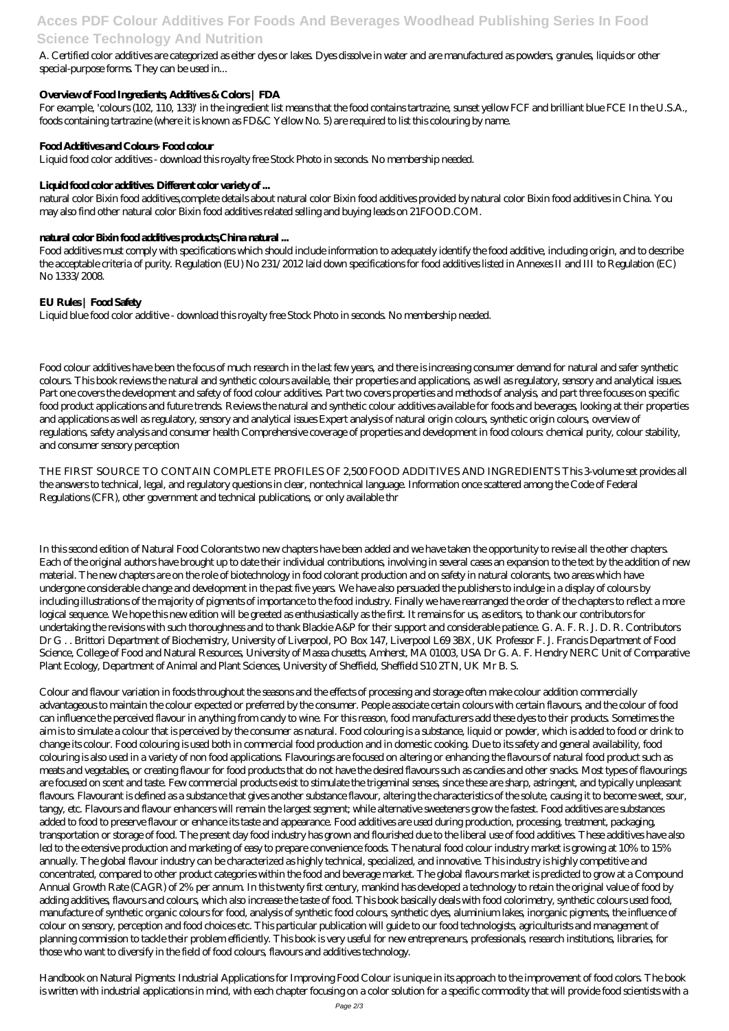## **Acces PDF Colour Additives For Foods And Beverages Woodhead Publishing Series In Food Science Technology And Nutrition**

A. Certified color additives are categorized as either dyes or lakes. Dyes dissolve in water and are manufactured as powders, granules, liquids or other special-purpose forms. They can be used in...

## **Overview of Food Ingredients, Additives & Colors | FDA**

For example, 'colours (102, 110, 133)' in the ingredient list means that the food contains tartrazine, sunset yellow FCF and brilliant blue FCE In the U.S.A., foods containing tartrazine (where it is known as FD&C Yellow No. 5) are required to list this colouring by name.

## **Food Additives and Colours- Food colour**

Liquid food color additives - download this royalty free Stock Photo in seconds. No membership needed.

## Liquid food color additives Different color variety of ...

natural color Bixin food additives,complete details about natural color Bixin food additives provided by natural color Bixin food additives in China. You may also find other natural color Bixin food additives related selling and buying leads on 21FOOD.COM.

## **natural color Bixin food additives products,China natural ...**

Food additives must comply with specifications which should include information to adequately identify the food additive, including origin, and to describe the acceptable criteria of purity. Regulation (EU) No 231/2012 laid down specifications for food additives listed in Annexes II and III to Regulation (EC) No 1333/2008.

## **EU Rules | Food Safety**

Liquid blue food color additive - download this royalty free Stock Photo in seconds. No membership needed.

Food colour additives have been the focus of much research in the last few years, and there is increasing consumer demand for natural and safer synthetic colours. This book reviews the natural and synthetic colours available, their properties and applications, as well as regulatory, sensory and analytical issues. Part one covers the development and safety of food colour additives. Part two covers properties and methods of analysis, and part three focuses on specific food product applications and future trends. Reviews the natural and synthetic colour additives available for foods and beverages, looking at their properties and applications as well as regulatory, sensory and analytical issues Expert analysis of natural origin colours, synthetic origin colours, overview of regulations, safety analysis and consumer health Comprehensive coverage of properties and development in food colours: chemical purity, colour stability, and consumer sensory perception

THE FIRST SOURCE TO CONTAIN COMPLETE PROFILES OF 2,500 FOOD ADDITIVES AND INGREDIENTS This 3-volume set provides all the answers to technical, legal, and regulatory questions in clear, nontechnical language. Information once scattered among the Code of Federal Regulations (CFR), other government and technical publications, or only available thr

In this second edition of Natural Food Colorants two new chapters have been added and we have taken the opportunity to revise all the other chapters. Each of the original authors have brought up to date their individual contributions, involving in several cases an expansion to the text by the addition of new material. The new chapters are on the role of biotechnology in food colorant production and on safety in natural colorants, two areas which have undergone considerable change and development in the past five years. We have also persuaded the publishers to indulge in a display of colours by including illustrations of the majority of pigments of importance to the food industry. Finally we have rearranged the order of the chapters to reflect a more logical sequence. We hope this new edition will be greeted as enthusiastically as the first. It remains for us, as editors, to thank our contributors for undertaking the revisions with such thoroughness and to thank Blackie A&P for their support and considerable patience. G. A. F. R. J. D. R. Contributors Dr G . . Brittori Department of Biochemistry, University of Liverpool, PO Box 147, Liverpool L69 3BX, UK Professor F. J. Francis Department of Food Science, College of Food and Natural Resources, University of Massa chusetts, Amherst, MA 01003, USA Dr G. A. F. Hendry NERC Unit of Comparative Plant Ecology, Department of Animal and Plant Sciences, University of Sheffield, Sheffield S10 2TN, UK Mr B. S.

Colour and flavour variation in foods throughout the seasons and the effects of processing and storage often make colour addition commercially advantageous to maintain the colour expected or preferred by the consumer. People associate certain colours with certain flavours, and the colour of food can influence the perceived flavour in anything from candy to wine. For this reason, food manufacturers add these dyes to their products. Sometimes the aim is to simulate a colour that is perceived by the consumer as natural. Food colouring is a substance, liquid or powder, which is added to food or drink to change its colour. Food colouring is used both in commercial food production and in domestic cooking. Due to its safety and general availability, food colouring is also used in a variety of non food applications. Flavourings are focused on altering or enhancing the flavours of natural food product such as meats and vegetables, or creating flavour for food products that do not have the desired flavours such as candies and other snacks. Most types of flavourings are focused on scent and taste. Few commercial products exist to stimulate the trigeminal senses, since these are sharp, astringent, and typically unpleasant flavours. Flavourant is defined as a substance that gives another substance flavour, altering the characteristics of the solute, causing it to become sweet, sour, tangy, etc. Flavours and flavour enhancers will remain the largest segment; while alternative sweeteners grow the fastest. Food additives are substances added to food to preserve flavour or enhance its taste and appearance. Food additives are used during production, processing, treatment, packaging, transportation or storage of food. The present day food industry has grown and flourished due to the liberal use of food additives. These additives have also led to the extensive production and marketing of easy to prepare convenience foods. The natural food colour industry market is growing at 10% to 15% annually. The global flavour industry can be characterized as highly technical, specialized, and innovative. This industry is highly competitive and concentrated, compared to other product categories within the food and beverage market. The global flavours market is predicted to grow at a Compound Annual Growth Rate (CAGR) of 2% per annum. In this twenty first century, mankind has developed a technology to retain the original value of food by adding additives, flavours and colours, which also increase the taste of food. This book basically deals with food colorimetry, synthetic colours used food, manufacture of synthetic organic colours for food, analysis of synthetic food colours, synthetic dyes, aluminium lakes, inorganic pigments, the influence of colour on sensory, perception and food choices etc. This particular publication will guide to our food technologists, agriculturists and management of planning commission to tackle their problem efficiently. This book is very useful for new entrepreneurs, professionals, research institutions, libraries, for those who want to diversify in the field of food colours, flavours and additives technology.

Handbook on Natural Pigments: Industrial Applications for Improving Food Colour is unique in its approach to the improvement of food colors. The book is written with industrial applications in mind, with each chapter focusing on a color solution for a specific commodity that will provide food scientists with a